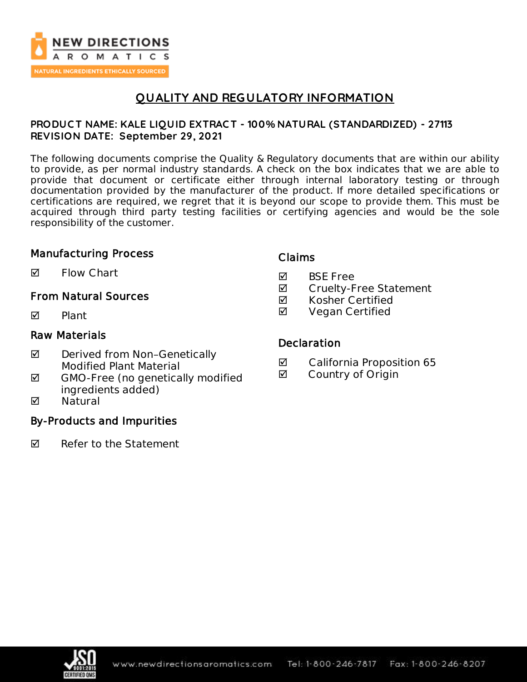

# **QUALITY AND REGULATORY INFORMATION**

### **PRODUC T NAME: KALE LIQUID EXTRAC T - 100% NATURAL (STANDARDIZED) - 27113 REVISION DATE: September 29, 2021**

The following documents comprise the Quality & Regulatory documents that are within our ability to provide, as per normal industry standards. A check on the box indicates that we are able to provide that document or certificate either through internal laboratory testing or through documentation provided by the manufacturer of the product. If more detailed specifications or certifications are required, we regret that it is beyond our scope to provide them. This must be acquired through third party testing facilities or certifying agencies and would be the sole responsibility of the customer.

### Manufacturing Process

 $\blacksquare$  Flow Chart

## From Natural Sources

 $\nabla$  Plant

### Raw Materials

- ◘ Derived from Non-Genetically Modified Plant Material
- $\boxtimes$  GMO-Free (no genetically modified ingredients added)
- **M** Natural

## By-Products and Impurities

 $\nabla$  Refer to the Statement

### Claims

- **M** BSF Free
- **Ø** Cruelty-Free Statement
- $\boxtimes$  Kosher Certified
- **Ø** Vegan Certified

### **Declaration**

- California Proposition 65
- **Ø** Country of Origin

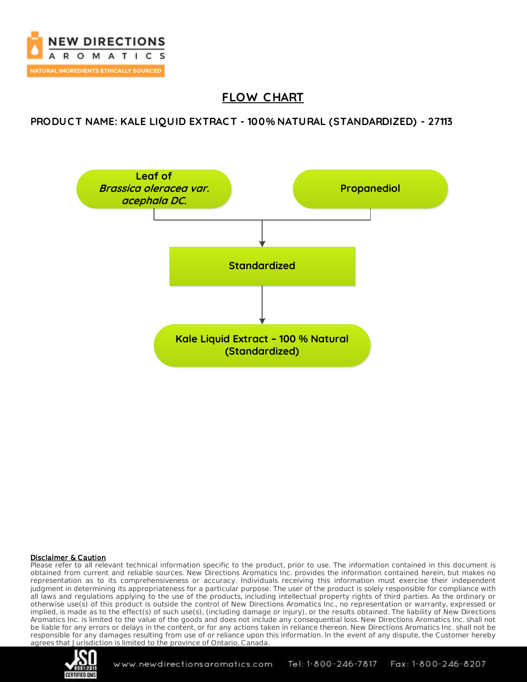

# **FLOW C HART**

### **PRODUC T NAME: KALE LIQUID EXTRAC T - 100% NATURAL (STANDARDIZED) - 27113**



#### Disclaimer & Caution

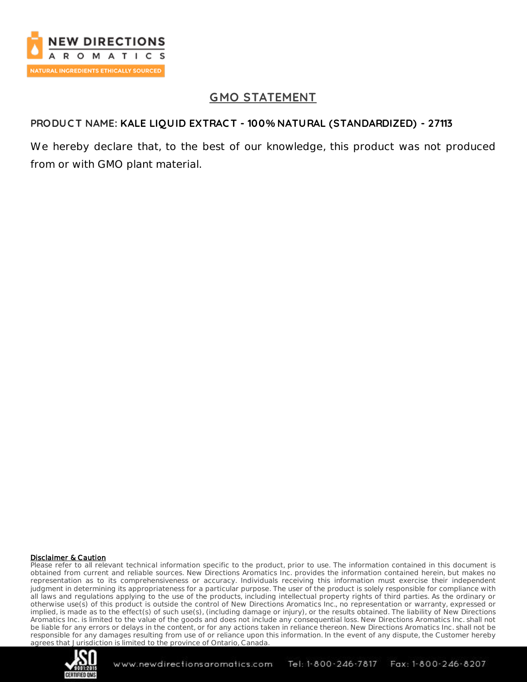

# **GMO STATEMENT**

## **PRODUC T NAME: KALE LIQUID EXTRAC T - 100% NATURAL (STANDARDIZED) - 27113**

We hereby declare that, to the best of our knowledge, this product was not produced from or with GMO plant material.

#### Disclaimer & Caution

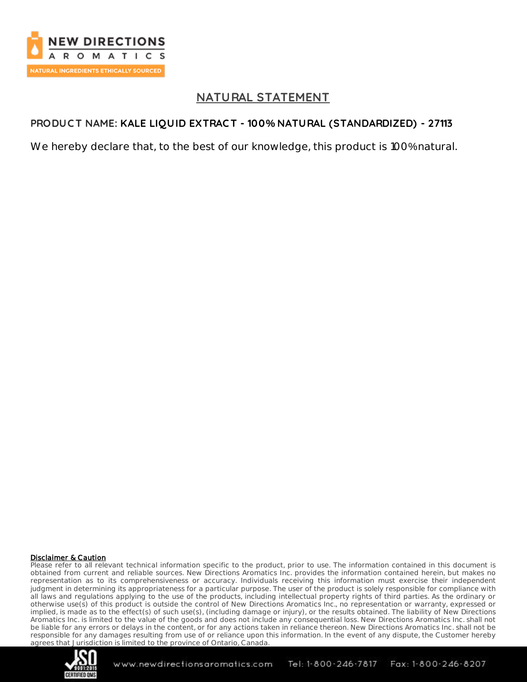

# **NATURAL STATEMENT**

## **PRODUC T NAME: KALE LIQUID EXTRAC T - 100% NATURAL (STANDARDIZED) - 27113**

We hereby declare that, to the best of our knowledge, this product is 100% natural.

#### Disclaimer & Caution

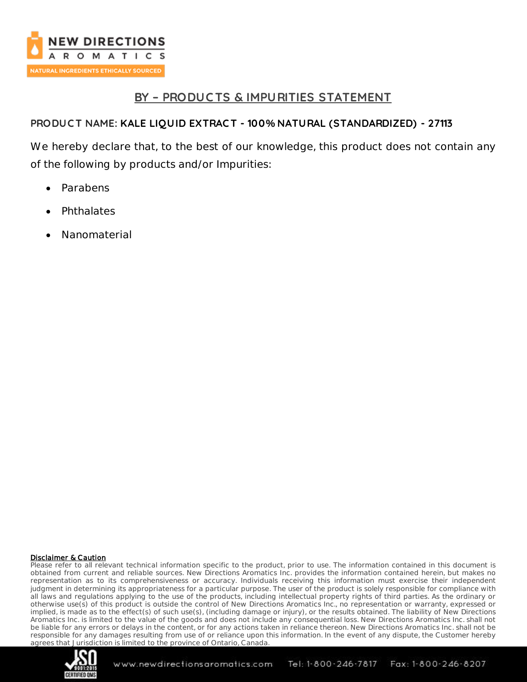

# **BY – PRODUC TS & IMPURITIES STATEMENT**

## **PRODUC T NAME: KALE LIQUID EXTRAC T - 100% NATURAL (STANDARDIZED) - 27113**

We hereby declare that, to the best of our knowledge, this product does not contain any of the following by products and/or Impurities:

- Parabens
- **Phthalates**
- Nanomaterial

#### Disclaimer & Caution

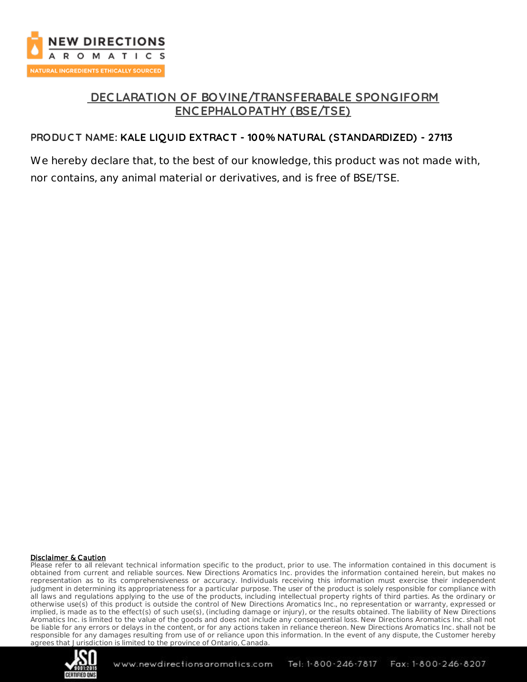

# **DEC LARATION OF BOVINE/TRANSFERABALE SPONGIFORM ENC EPHALOPATHY (BSE/TSE)**

## **PRODUC T NAME: KALE LIQUID EXTRAC T - 100% NATURAL (STANDARDIZED) - 27113**

We hereby declare that, to the best of our knowledge, this product was not made with, nor contains, any animal material or derivatives, and is free of BSE/TSE.

#### Disclaimer & Caution

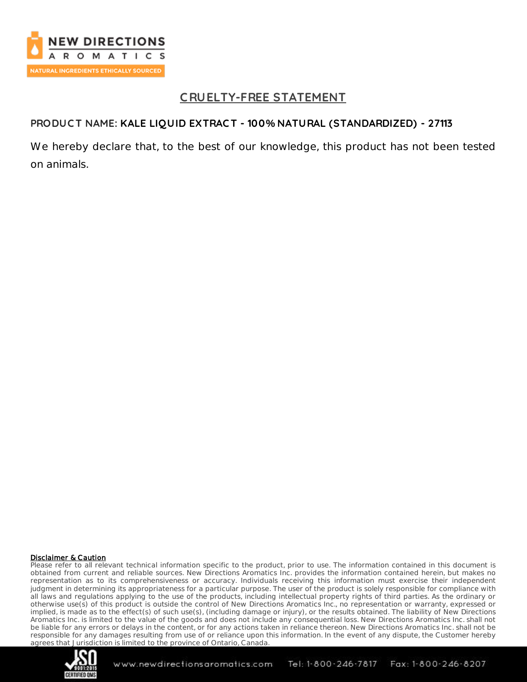

# **C RUELTY-FREE STATEMENT**

### **PRODUC T NAME: KALE LIQUID EXTRAC T - 100% NATURAL (STANDARDIZED) - 27113**

We hereby declare that, to the best of our knowledge, this product has not been tested on animals.

#### Disclaimer & Caution

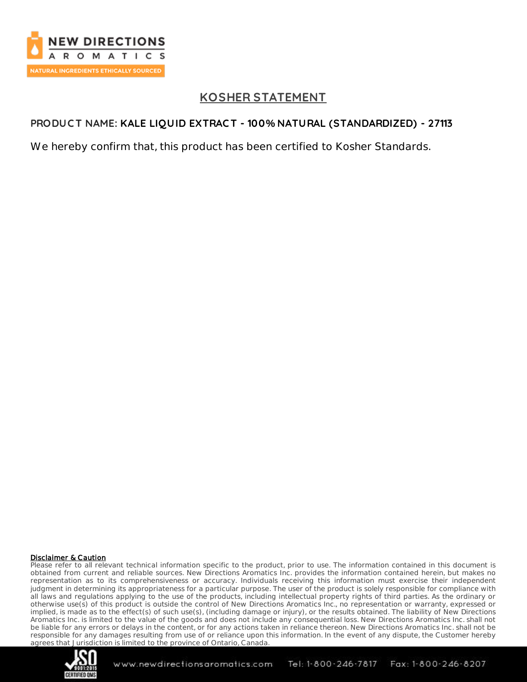

# **KOSHER STATEMENT**

## **PRODUC T NAME: KALE LIQUID EXTRAC T - 100% NATURAL (STANDARDIZED) - 27113**

We hereby confirm that, this product has been certified to Kosher Standards.

#### Disclaimer & Caution

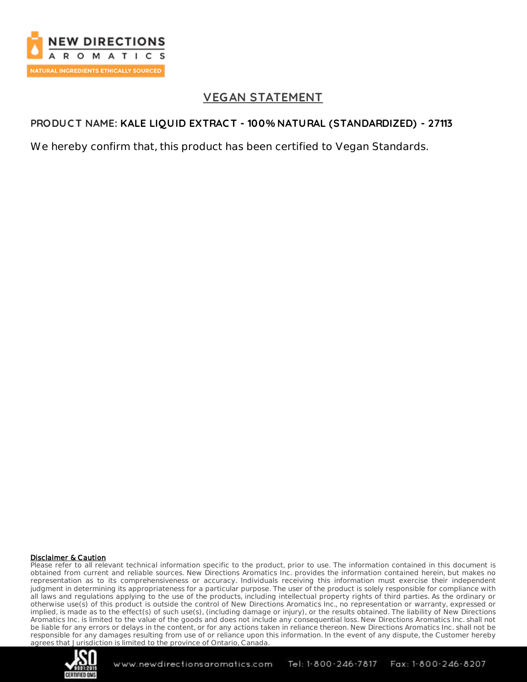

# **VEGAN STATEMENT**

### **PRODUC T NAME: KALE LIQUID EXTRAC T - 100% NATURAL (STANDARDIZED) - 27113**

We hereby confirm that, this product has been certified to Vegan Standards.

#### Disclaimer & Caution

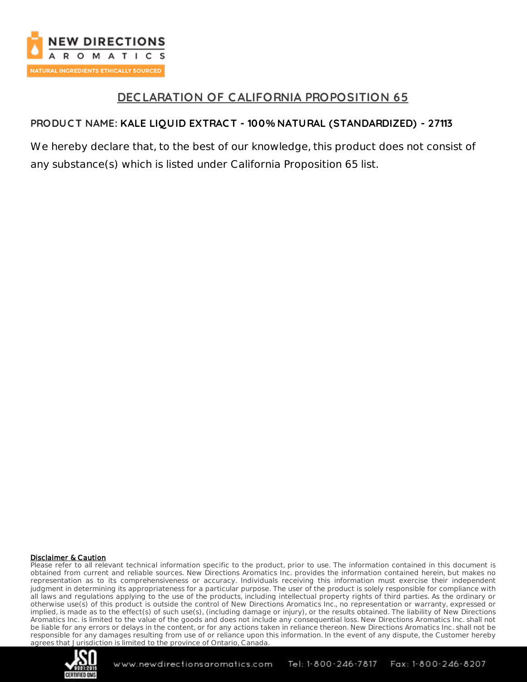

# **DEC LARATION OF CALIFORNIA PROPOSITION 65**

## **PRODUC T NAME: KALE LIQUID EXTRAC T - 100% NATURAL (STANDARDIZED) - 27113**

We hereby declare that, to the best of our knowledge, this product does not consist of any substance(s) which is listed under California Proposition 65 list.

#### Disclaimer & Caution